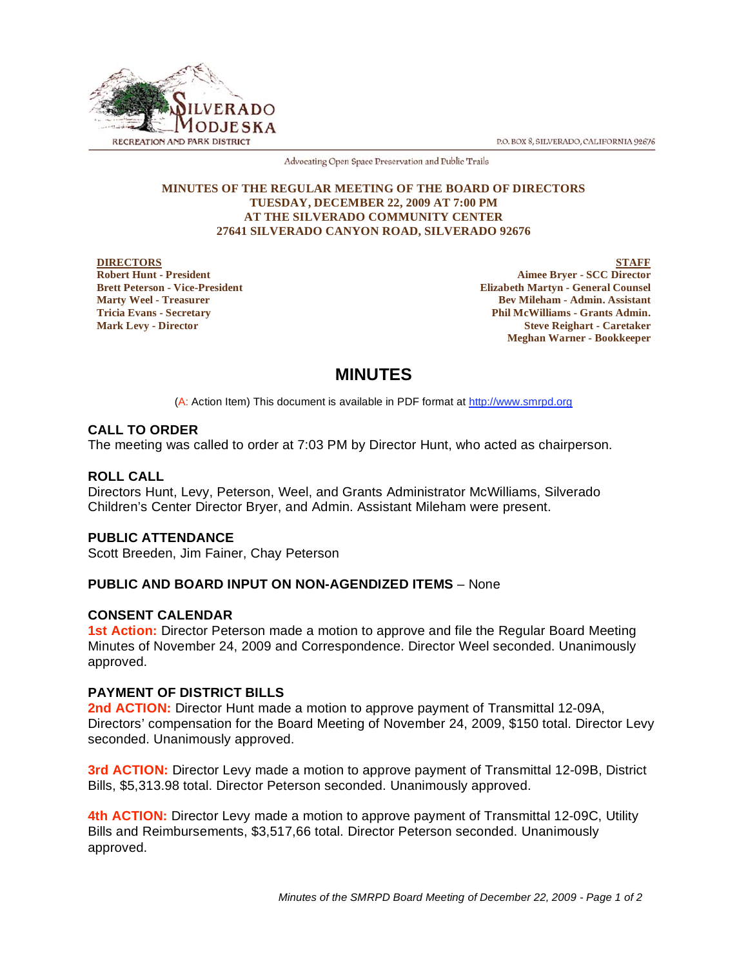P.O. BOX 8, SILVERADO, CALIFORNIA 92676



Advocating Open Space Preservation and Public Trails

#### **MINUTES OF THE REGULAR MEETING OF THE BOARD OF DIRECTORS TUESDAY, DECEMBER 22, 2009 AT 7:00 PM AT THE SILVERADO COMMUNITY CENTER 27641 SILVERADO CANYON ROAD, SILVERADO 92676**

#### **DIRECTORS Robert Hunt - President Brett Peterson - Vice-President Marty Weel - Treasurer**

**Tricia Evans - Secretary Mark Levy - Director**

**STAFF Aimee Bryer - SCC Director Elizabeth Martyn - General Counsel Bev Mileham - Admin. Assistant Phil McWilliams - Grants Admin. Steve Reighart - Caretaker Meghan Warner - Bookkeeper**

# **MINUTES**

(A: Action Item) This document is available in PDF format at http://www.smrpd.org

# **CALL TO ORDER**

The meeting was called to order at 7:03 PM by Director Hunt, who acted as chairperson.

# **ROLL CALL**

Directors Hunt, Levy, Peterson, Weel, and Grants Administrator McWilliams, Silverado Children's Center Director Bryer, and Admin. Assistant Mileham were present.

# **PUBLIC ATTENDANCE**

Scott Breeden, Jim Fainer, Chay Peterson

# **PUBLIC AND BOARD INPUT ON NON-AGENDIZED ITEMS** – None

## **CONSENT CALENDAR**

**1st Action:** Director Peterson made a motion to approve and file the Regular Board Meeting Minutes of November 24, 2009 and Correspondence. Director Weel seconded. Unanimously approved.

## **PAYMENT OF DISTRICT BILLS**

**2nd ACTION:** Director Hunt made a motion to approve payment of Transmittal 12-09A, Directors' compensation for the Board Meeting of November 24, 2009, \$150 total. Director Levy seconded. Unanimously approved.

**3rd ACTION:** Director Levy made a motion to approve payment of Transmittal 12-09B, District Bills, \$5,313.98 total. Director Peterson seconded. Unanimously approved.

**4th ACTION:** Director Levy made a motion to approve payment of Transmittal 12-09C, Utility Bills and Reimbursements, \$3,517,66 total. Director Peterson seconded. Unanimously approved.